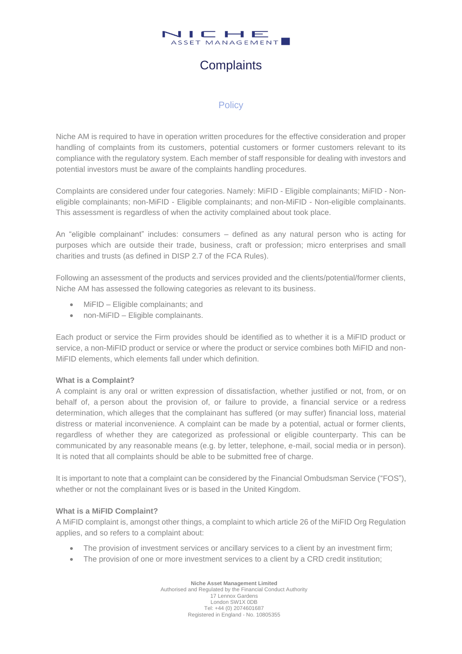

# **Complaints**

## **Policy**

Niche AM is required to have in operation written procedures for the effective consideration and proper handling of complaints from its customers, potential customers or former customers relevant to its compliance with the regulatory system. Each member of staff responsible for dealing with investors and potential investors must be aware of the complaints handling procedures.

Complaints are considered under four categories. Namely: MiFID - Eligible complainants; MiFID - Noneligible complainants; non-MiFID - Eligible complainants; and non-MiFID - Non-eligible complainants. This assessment is regardless of when the activity complained about took place.

An "eligible complainant" includes: consumers – defined as any natural person who is acting for purposes which are outside their trade, business, craft or profession; micro enterprises and small charities and trusts (as defined in DISP 2.7 of the FCA Rules).

Following an assessment of the products and services provided and the clients/potential/former clients, Niche AM has assessed the following categories as relevant to its business.

- MiFID Eligible complainants; and
- non-MiFID Eligible complainants.

Each product or service the Firm provides should be identified as to whether it is a MiFID product or service, a non-MiFID product or service or where the product or service combines both MiFID and non-MiFID elements, which elements fall under which definition.

## **What is a Complaint?**

A complaint is any oral or written expression of dissatisfaction, whether justified or not, from, or on behalf of, a [person](https://www.handbook.fca.org.uk/handbook/glossary/G869.html) about the provision of, or failure to provide, a financial service or a [redress](https://www.handbook.fca.org.uk/handbook/glossary/G2895.html)  [determination,](https://www.handbook.fca.org.uk/handbook/glossary/G2895.html) which alleges that the complainant has suffered (or may suffer) financial loss, material distress or material inconvenience. A complaint can be made by a potential, actual or former clients, regardless of whether they are categorized as professional or eligible counterparty. This can be communicated by any reasonable means (e.g. by letter, telephone, e-mail, social media or in person). It is noted that all complaints should be able to be submitted free of charge.

It is important to note that a [complaint](https://www.handbook.fca.org.uk/handbook/glossary/G197.html) can be considered by the Financial Ombudsman Service ("FOS"), whether or not the complainant lives or is based in the [United Kingdom.](https://www.handbook.fca.org.uk/handbook/glossary/G1232.html)

## **What is a MiFID Complaint?**

A MiFID complaint is, amongst other things, a complaint to which article 26 of the MiFID Org Regulation applies, and so refers to a complaint about:

- The provision of investment services or ancillary services to a client by an investment firm;
- The provision of one or more investment services to a client by a CRD credit institution;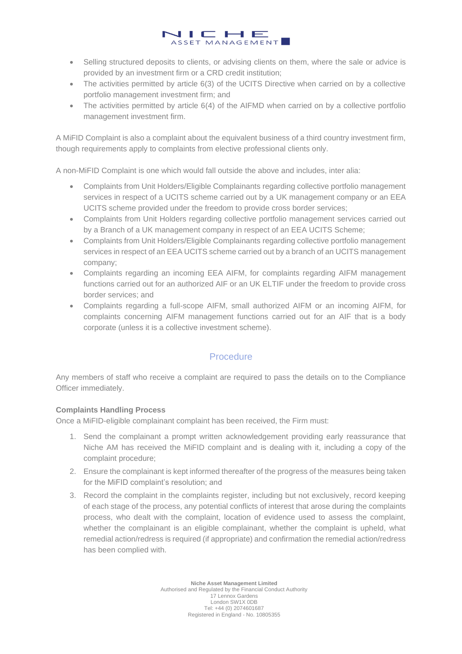• Selling structured deposits to clients, or advising clients on them, where the sale or advice is provided by an investment firm or a CRD credit institution;

 $\vdash$   $\blacksquare$ ASSET MANAGEMENT

- The activities permitted by article 6(3) of the UCITS Directive when carried on by a collective portfolio management investment firm; and
- The activities permitted by article 6(4) of the AIFMD when carried on by a collective portfolio management investment firm.

A MiFID Complaint is also a complaint about the equivalent business of a third country investment firm, though requirements apply to complaints from elective professional clients only.

A non-MiFID Complaint is one which would fall outside the above and includes, inter alia:

 $\blacksquare$ 

- Complaints from Unit Holders/Eligible Complainants regarding collective portfolio management services in respect of a UCITS scheme carried out by a UK management company or an EEA UCITS scheme provided under the freedom to provide cross border services;
- Complaints from Unit Holders regarding collective portfolio management services carried out by a Branch of a UK management company in respect of an EEA UCITS Scheme;
- Complaints from Unit Holders/Eligible Complainants regarding collective portfolio management services in respect of an EEA UCITS scheme carried out by a branch of an UCITS management company;
- Complaints regarding an incoming EEA AIFM, for complaints regarding AIFM management functions carried out for an authorized AIF or an UK ELTIF under the freedom to provide cross border services; and
- Complaints regarding a full-scope AIFM, small authorized AIFM or an incoming AIFM, for complaints concerning AIFM management functions carried out for an AIF that is a body corporate (unless it is a collective investment scheme).

## **Procedure**

Any members of staff who receive a complaint are required to pass the details on to the Compliance Officer immediately.

## **Complaints Handling Process**

Once a MiFID-eligible complainant complaint has been received, the Firm must:

- 1. Send the complainant a prompt written acknowledgement providing early reassurance that Niche AM has received the MiFID complaint and is dealing with it, including a copy of the complaint procedure;
- 2. Ensure the complainant is kept informed thereafter of the progress of the measures being taken for the MiFID complaint's resolution; and
- 3. Record the complaint in the complaints register, including but not exclusively, record keeping of each stage of the process, any potential conflicts of interest that arose during the complaints process, who dealt with the complaint, location of evidence used to assess the complaint, whether the complainant is an eligible complainant, whether the complaint is upheld, what remedial action/redress is required (if appropriate) and confirmation the remedial action/redress has been complied with.

**Niche Asset Management Limited** Authorised and Regulated by the Financial Conduct Authority 17 Lennox Gardens London SW1X 0DB Tel: +44 (0) 2074601687 Registered in England - No. 10805355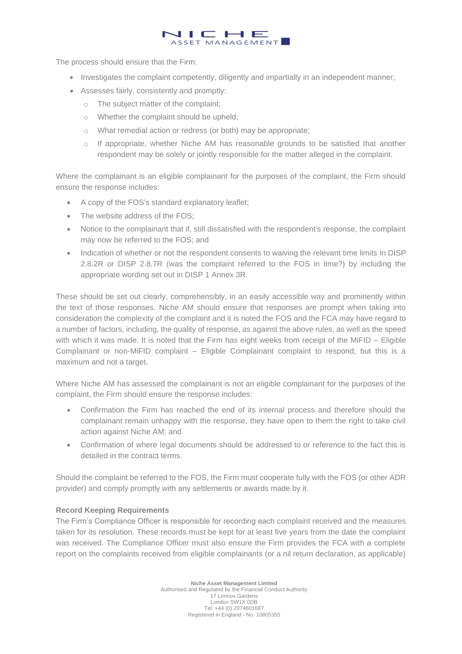## The process should ensure that the Firm:

• Investigates the complaint competently, diligently and impartially in an independent manner;

- F

- 1-

ASSET MANAGEMENT

- Assesses fairly, consistently and promptly:
	- o The subject matter of the complaint;
	- o Whether the complaint should be upheld;
	- o What remedial action or redress (or both) may be appropriate;

 $\blacksquare$ 

o If appropriate, whether Niche AM has reasonable grounds to be satisfied that another respondent may be solely or jointly responsible for the matter alleged in the complaint.

Where the complainant is an eligible complainant for the purposes of the complaint, the Firm should ensure the response includes:

- A copy of the FOS's standard explanatory leaflet;
- The website address of the FOS:
- Notice to the complainant that if, still dissatisfied with the respondent's response, the complaint may now be referred to the FOS; and
- Indication of whether or not the respondent consents to waiving the relevant time limits in DISP 2.8.2R or DISP 2.8.7R (was the complaint referred to the FOS in time?) by including the appropriate wording set out in DISP 1 Annex 3R.

These should be set out clearly, comprehensibly, in an easily accessible way and prominently within the text of those responses. Niche AM should ensure that responses are prompt when taking into consideration the complexity of the complaint and it is noted the FOS and the FCA may have regard to a number of factors, including, the quality of response, as against the above rules, as well as the speed with which it was made. It is noted that the Firm has eight weeks from receipt of the MiFID – Eligible Complainant or non-MiFID complaint – Eligible Complainant complaint to respond, but this is a maximum and not a target.

Where Niche AM has assessed the complainant is not an eligible complainant for the purposes of the complaint, the Firm should ensure the response includes:

- Confirmation the Firm has reached the end of its internal process and therefore should the complainant remain unhappy with the response, they have open to them the right to take civil action against Niche AM; and
- Confirmation of where legal documents should be addressed to or reference to the fact this is detailed in the contract terms.

Should the complaint be referred to the FOS, the Firm must cooperate fully with the FOS (or other ADR provider) and comply promptly with any settlements or awards made by it.

## **Record Keeping Requirements**

The Firm's Compliance Officer is responsible for recording each complaint received and the measures taken for its resolution. These records must be kept for at least five years from the date the complaint was received. The Compliance Officer must also ensure the Firm provides the FCA with a complete report on the complaints received from eligible complainants (or a nil return declaration, as applicable)